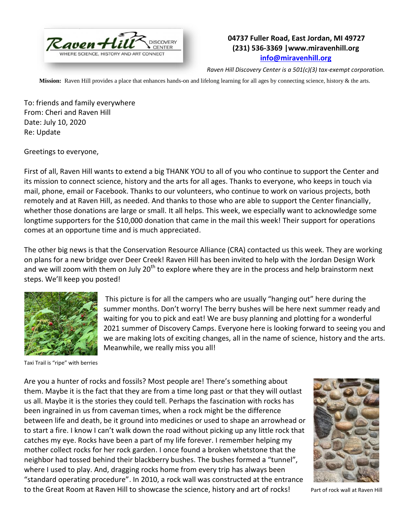

## **04737 Fuller Road, East Jordan, MI 49727 (231) 536-3369 |www.miravenhill.org [info@miravenhill.org](mailto:info@miravenhill.org)**

*Raven Hill Discovery Center is a 501(c)(3) tax-exempt corporation.*

**Mission:** Raven Hill provides a place that enhances hands-on and lifelong learning for all ages by connecting science, history & the arts.

To: friends and family everywhere From: Cheri and Raven Hill Date: July 10, 2020 Re: Update

Greetings to everyone,

First of all, Raven Hill wants to extend a big THANK YOU to all of you who continue to support the Center and its mission to connect science, history and the arts for all ages. Thanks to everyone, who keeps in touch via mail, phone, email or Facebook. Thanks to our volunteers, who continue to work on various projects, both remotely and at Raven Hill, as needed. And thanks to those who are able to support the Center financially, whether those donations are large or small. It all helps. This week, we especially want to acknowledge some longtime supporters for the \$10,000 donation that came in the mail this week! Their support for operations comes at an opportune time and is much appreciated.

The other big news is that the Conservation Resource Alliance (CRA) contacted us this week. They are working on plans for a new bridge over Deer Creek! Raven Hill has been invited to help with the Jordan Design Work and we will zoom with them on July  $20<sup>th</sup>$  to explore where they are in the process and help brainstorm next steps. We'll keep you posted!



Taxi Trail is "ripe" with berries

This picture is for all the campers who are usually "hanging out" here during the summer months. Don't worry! The berry bushes will be here next summer ready and waiting for you to pick and eat! We are busy planning and plotting for a wonderful 2021 summer of Discovery Camps. Everyone here is looking forward to seeing you and we are making lots of exciting changes, all in the name of science, history and the arts. Meanwhile, we really miss you all!

Are you a hunter of rocks and fossils? Most people are! There's something about them. Maybe it is the fact that they are from a time long past or that they will outlast us all. Maybe it is the stories they could tell. Perhaps the fascination with rocks has been ingrained in us from caveman times, when a rock might be the difference between life and death, be it ground into medicines or used to shape an arrowhead or to start a fire. I know I can't walk down the road without picking up any little rock that catches my eye. Rocks have been a part of my life forever. I remember helping my mother collect rocks for her rock garden. I once found a broken whetstone that the neighbor had tossed behind their blackberry bushes. The bushes formed a "tunnel", where I used to play. And, dragging rocks home from every trip has always been "standard operating procedure". In 2010, a rock wall was constructed at the entrance to the Great Room at Raven Hill to showcase the science, history and art of rocks! Part of rock wall at Raven Hill